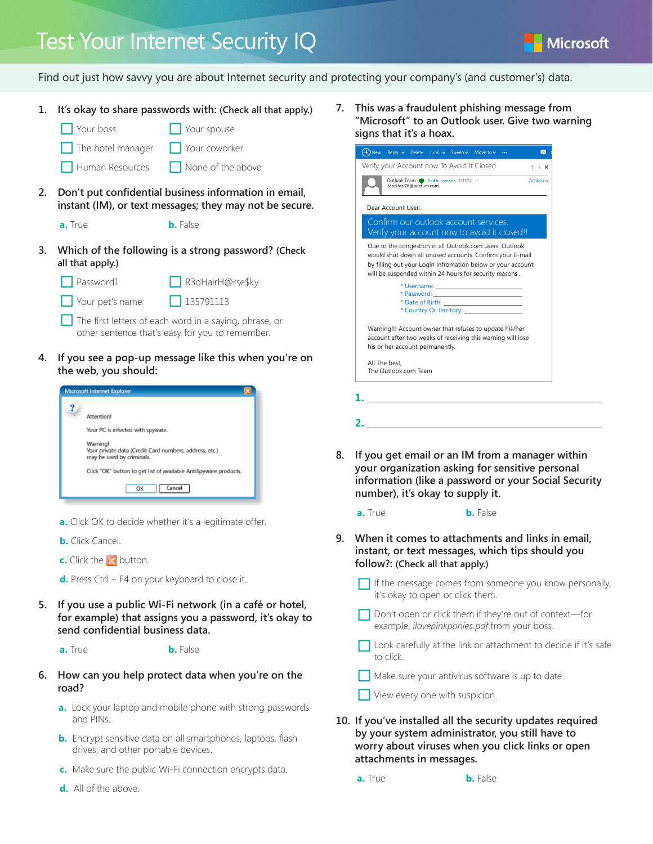# Test Your Internet Security IQ



Find out just how savvy you are about Internet security and protecting your company's (and customer's) data.

**1. It's okay to share passwords with: (Check all that apply.)**

| Your boss                | Your spouse       |
|--------------------------|-------------------|
| $\Box$ The hotel manager | Your coworker     |
| Human Resources          | None of the above |

- **2. Don't put confidential business information in email, instant (IM), or text messages; they may not be secure.**
	-

**a.** True **b.** False

**3. Which of the following is a strong password? (Check all that apply.)**

| $\Box$ Password1       | R3dHairH@rse\$ky                                              |
|------------------------|---------------------------------------------------------------|
| $\Box$ Your pet's name | $\Box$ 135791113                                              |
|                        | $\Box$ The first letters of each word in a saying, phrase, or |

other sentence that's easy for you to remember.

**4. If you see a pop-up message like this when you're on the web, you should:**



- **a.** Click OK to decide whether it's a legitimate offer.
- **b.** Click Cancel.
- **c.** Click the **X** button.

**d.** Press Ctrl + F4 on your keyboard to close it.

- **5. If you use a public Wi-Fi network (in a café or hotel, for example) that assigns you a password, it's okay to send confidential business data.**
	- **a.** True **b.** False
- **6. How can you help protect data when you're on the road?**
	- **a.** Lock your laptop and mobile phone with strong passwords and PINs.
	- **b.** Encrypt sensitive data on all smartphones, laptops, flash drives, and other portable devices.
	- **c.** Make sure the public Wi-Fi connection encrypts data.
	- **d.** All of the above.

**7. This was a fraudulent phishing message from "Microsoft" to an Outlook user. Give two warning signs that it's a hoax.**

|                                                                                                                                                                                                                                               | Reply  v Delete Junk  v Sweep v Move to v                                                                                                                                                                                                                            |  | 34        |
|-----------------------------------------------------------------------------------------------------------------------------------------------------------------------------------------------------------------------------------------------|----------------------------------------------------------------------------------------------------------------------------------------------------------------------------------------------------------------------------------------------------------------------|--|-----------|
| Verify your Account now To Avoid It Closed                                                                                                                                                                                                    |                                                                                                                                                                                                                                                                      |  | $A + 1$   |
| MorHezi78@adatum.com                                                                                                                                                                                                                          | Outlook Team & Add to contacts 7/31/12                                                                                                                                                                                                                               |  | Actions v |
| Dear Account User:                                                                                                                                                                                                                            |                                                                                                                                                                                                                                                                      |  |           |
| Confirm our outlook account services.<br>Verify your account now to avoid it closed!!                                                                                                                                                         |                                                                                                                                                                                                                                                                      |  |           |
| Due to the congestion in all Outlook.com users, Outlook<br>would shut down all unused accounts. Confirm your E-mail<br>by filling out your Login Infromation below or your account<br>will be suspended within 24 hours for security reasons. | * Username: The contract of the contract of the contract of the contract of the contract of the contract of the contract of the contract of the contract of the contract of the contract of the contract of the contract of th<br>* Country Or Territory: __________ |  |           |
|                                                                                                                                                                                                                                               |                                                                                                                                                                                                                                                                      |  |           |
| Warning!!! Account owner that refuses to update his/her<br>account after two weeks of receiving this warning will lose<br>his or her account permanently.                                                                                     |                                                                                                                                                                                                                                                                      |  |           |

- **2.**
- **8. If you get email or an IM from a manager within your organization asking for sensitive personal information (like a password or your Social Security number), it's okay to supply it.**
	- **a.** True **b.** False
- **9. When it comes to attachments and links in email, instant, or text messages, which tips should you follow?: (Check all that apply.)**
	- $\Box$  If the message comes from someone you know personally, it's okay to open or click them.
	- Don't open or click them if they're out of context-for example, *ilovepinkponies.pdf* from your boss.

 $\Box$  Look carefully at the link or attachment to decide if it's safe to click.

- $\Box$  Make sure your antivirus software is up to date.
- View every one with suspicion.
- **10. If you've installed all the security updates required by your system administrator, you still have to worry about viruses when you click links or open attachments in messages.**
	- **a.** True **b.** False